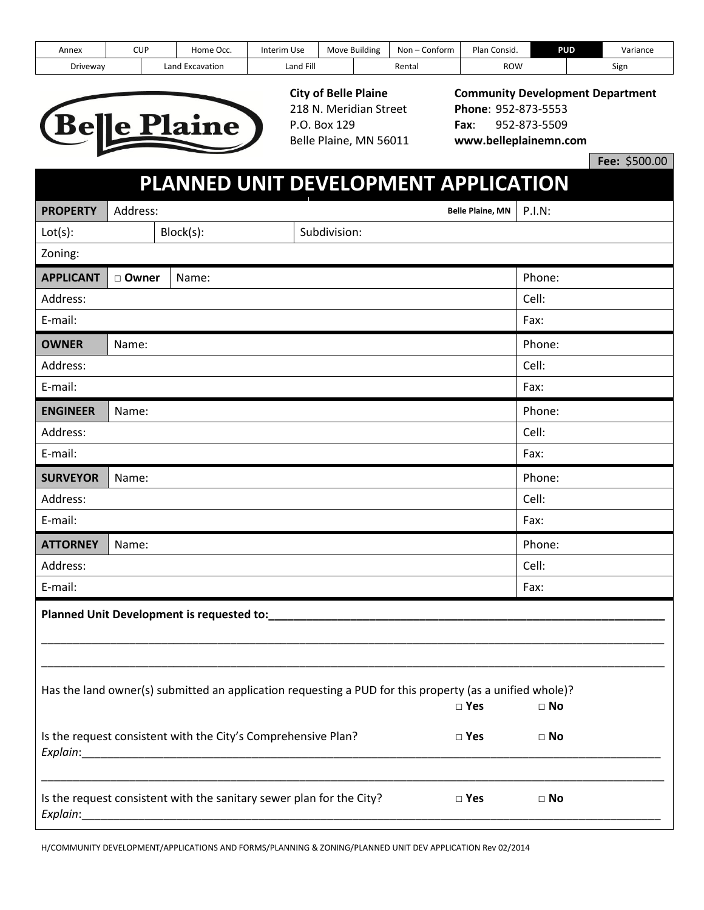| Annex    | CUP |        | Home Occ.    | Interim Use | Move Building | Non $-$<br>Contorm | Plan<br>→ Consia. | <b>PUD</b> | Variance |
|----------|-----|--------|--------------|-------------|---------------|--------------------|-------------------|------------|----------|
| Driveway |     | Land I | ' Excavation | Land Fill   |               | Rental             | row               |            | Sign     |



218 N. Meridian Street **Phone**: 952-873-5553 P.O. Box 129 **Fax**: 952-873-5509

# **City of Belle Plaine Community Development Department** Belle Plaine, MN 56011 **www.belleplainemn.com**

**Fee:** \$500.00

## **PLANNED UNIT DEVELOPMENT APPLICATION**

| <b>PROPERTY</b>                                                                                                                       | Address: |                                                                      |               | <b>Belle Plaine, MN</b> | <b>P.I.N:</b> |
|---------------------------------------------------------------------------------------------------------------------------------------|----------|----------------------------------------------------------------------|---------------|-------------------------|---------------|
| Lot(s):                                                                                                                               |          | Block(s):                                                            | Subdivision:  |                         |               |
| Zoning:                                                                                                                               |          |                                                                      |               |                         |               |
| <b>APPLICANT</b>                                                                                                                      | □ Owner  | Name:                                                                |               |                         | Phone:        |
| Address:                                                                                                                              |          |                                                                      |               |                         | Cell:         |
| E-mail:                                                                                                                               |          |                                                                      |               |                         | Fax:          |
| <b>OWNER</b>                                                                                                                          | Name:    |                                                                      |               |                         | Phone:        |
| Address:                                                                                                                              |          |                                                                      |               |                         | Cell:         |
| E-mail:                                                                                                                               |          |                                                                      |               |                         | Fax:          |
| <b>ENGINEER</b>                                                                                                                       | Name:    |                                                                      |               |                         | Phone:        |
| Address:                                                                                                                              |          |                                                                      |               |                         | Cell:         |
| E-mail:                                                                                                                               |          |                                                                      |               |                         | Fax:          |
| <b>SURVEYOR</b>                                                                                                                       | Name:    |                                                                      |               |                         | Phone:        |
| Address:                                                                                                                              |          |                                                                      |               |                         | Cell:         |
| E-mail:                                                                                                                               |          |                                                                      |               |                         | Fax:          |
| <b>ATTORNEY</b>                                                                                                                       | Name:    |                                                                      |               |                         | Phone:        |
| Address:                                                                                                                              |          |                                                                      |               |                         | Cell:         |
| E-mail:                                                                                                                               |          |                                                                      |               |                         | Fax:          |
|                                                                                                                                       |          | Planned Unit Development is requested to:                            |               |                         |               |
|                                                                                                                                       |          |                                                                      |               |                         |               |
|                                                                                                                                       |          |                                                                      |               |                         |               |
| Has the land owner(s) submitted an application requesting a PUD for this property (as a unified whole)?<br>$\square$ Yes<br>$\Box$ No |          |                                                                      |               |                         |               |
|                                                                                                                                       |          | Is the request consistent with the City's Comprehensive Plan?        | $\Box$ Yes    |                         | $\square$ No  |
|                                                                                                                                       |          | Is the request consistent with the sanitary sewer plan for the City? | $\square$ Yes |                         | $\Box$ No     |

H/COMMUNITY DEVELOPMENT/APPLICATIONS AND FORMS/PLANNING & ZONING/PLANNED UNIT DEV APPLICATION Rev 02/2014